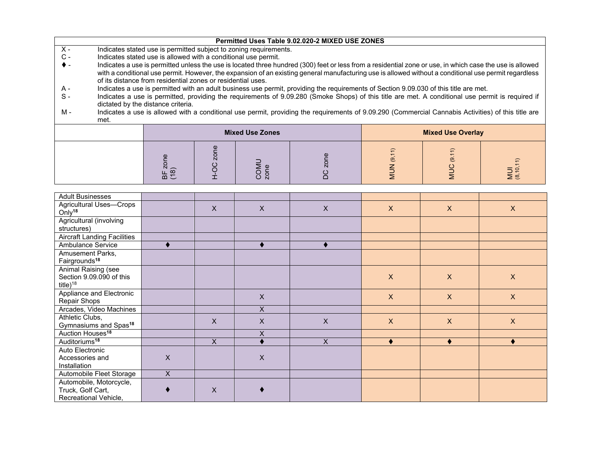| Permitted Uses Table 9.02.020-2 MIXED USE ZONES |  |
|-------------------------------------------------|--|
|-------------------------------------------------|--|

- X Indicates stated use is permitted subject to zoning requirements.<br>C Indicates stated use is allowed with a conditional use permit.
- $C -$  Indicates stated use is allowed with a conditional use permit.<br>  $\blacklozenge$  Indicates a use is permitted unless the use is located three hure
- Indicates a use is permitted unless the use is located three hundred (300) feet or less from a residential zone or use, in which case the use is allowed with a conditional use permit. However, the expansion of an existing general manufacturing use is allowed without a conditional use permit regardless of its distance from residential zones or residential uses.
- Indicates a use is permitted with an adult business use permit, providing the requirements of Section 9.09.030 of this title are met. A -
- $S -$ Indicates a use is permitted, providing the requirements of 9.09.280 (Smoke Shops) of this title are met. A conditional use permit is required if dictated by the distance criteria.
- M Indicates a use is allowed with a conditional use permit, providing the requirements of 9.09.290 (Commercial Cannabis Activities) of this title are met.

|            | <b>Mixed Use Zones</b> |  | <b>Mixed Use Overlay</b> |                    |                      |
|------------|------------------------|--|--------------------------|--------------------|----------------------|
| $m \Sigma$ | N                      |  | $\overline{\phantom{0}}$ | $\Rightarrow$<br>ල | $\Rightarrow$<br>ڨ ≥ |

| <b>Adult Businesses</b>                                               |              |                           |                           |                |                           |                           |                           |
|-----------------------------------------------------------------------|--------------|---------------------------|---------------------------|----------------|---------------------------|---------------------------|---------------------------|
| Agricultural Uses-Crops<br>Only <sup>18</sup>                         |              | $\boldsymbol{\mathsf{X}}$ | $\boldsymbol{\mathsf{X}}$ | $\times$       | $\boldsymbol{\mathsf{X}}$ | $\boldsymbol{\mathsf{X}}$ | $\boldsymbol{\mathsf{X}}$ |
| Agricultural (involving<br>structures)                                |              |                           |                           |                |                           |                           |                           |
| <b>Aircraft Landing Facilities</b>                                    |              |                           |                           |                |                           |                           |                           |
| Ambulance Service                                                     |              |                           |                           |                |                           |                           |                           |
| Amusement Parks,<br>Fairgrounds <sup>18</sup>                         |              |                           |                           |                |                           |                           |                           |
| Animal Raising (see<br>Section 9.09.090 of this<br>title $)^{18}$     |              |                           |                           |                | X                         | $\mathsf{X}$              | $\mathsf{X}$              |
| Appliance and Electronic<br>Repair Shops                              |              |                           | $\mathsf{X}$              |                | $\mathsf{X}$              | $\mathsf{X}$              | $\mathsf{X}$              |
| Arcades, Video Machines                                               |              |                           | X                         |                |                           |                           |                           |
| Athletic Clubs,<br>Gymnasiums and Spas <sup>18</sup>                  |              | X                         | $\times$                  | X              | $\mathsf{X}$              | $\mathsf{X}$              | $\mathsf{X}$              |
| Auction Houses <sup>18</sup>                                          |              |                           | Χ                         |                |                           |                           |                           |
| Auditoriums <sup>18</sup>                                             |              | X                         |                           | $\overline{X}$ | ٠                         | ٠                         | ٠                         |
| Auto Electronic<br>Accessories and<br>Installation                    | X            |                           | $\times$                  |                |                           |                           |                           |
| Automobile Fleet Storage                                              | $\mathsf{X}$ |                           |                           |                |                           |                           |                           |
| Automobile, Motorcycle,<br>Truck, Golf Cart,<br>Recreational Vehicle, |              | X                         |                           |                |                           |                           |                           |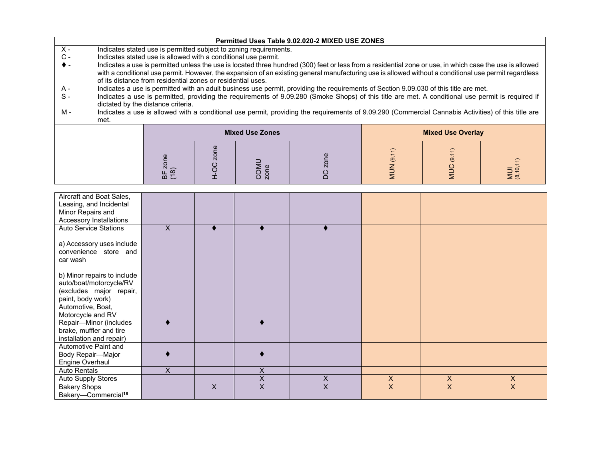|                |      |                                                                |                |                                                                   | Permitted Uses Table 9.02.020-2 MIXED USE ZONES                                                                                                                                                                                                                                                                   |           |                          |                     |
|----------------|------|----------------------------------------------------------------|----------------|-------------------------------------------------------------------|-------------------------------------------------------------------------------------------------------------------------------------------------------------------------------------------------------------------------------------------------------------------------------------------------------------------|-----------|--------------------------|---------------------|
| $X -$          |      |                                                                |                | Indicates stated use is permitted subject to zoning requirements. |                                                                                                                                                                                                                                                                                                                   |           |                          |                     |
| $\mathsf{C}$ - |      | Indicates stated use is allowed with a conditional use permit. |                |                                                                   |                                                                                                                                                                                                                                                                                                                   |           |                          |                     |
|                |      | of its distance from residential zones or residential uses.    |                |                                                                   | Indicates a use is permitted unless the use is located three hundred (300) feet or less from a residential zone or use, in which case the use is allowed<br>with a conditional use permit. However, the expansion of an existing general manufacturing use is allowed without a conditional use permit regardless |           |                          |                     |
| A -            |      |                                                                |                |                                                                   | Indicates a use is permitted with an adult business use permit, providing the requirements of Section 9.09.030 of this title are met.                                                                                                                                                                             |           |                          |                     |
| $S-$           |      | dictated by the distance criteria.                             |                |                                                                   | Indicates a use is permitted, providing the requirements of 9.09.280 (Smoke Shops) of this title are met. A conditional use permit is required if                                                                                                                                                                 |           |                          |                     |
| М -            |      |                                                                |                |                                                                   | Indicates a use is allowed with a conditional use permit, providing the requirements of 9.09.290 (Commercial Cannabis Activities) of this title are                                                                                                                                                               |           |                          |                     |
|                | met. |                                                                |                |                                                                   |                                                                                                                                                                                                                                                                                                                   |           |                          |                     |
|                |      |                                                                |                | <b>Mixed Use Zones</b>                                            |                                                                                                                                                                                                                                                                                                                   |           | <b>Mixed Use Overlay</b> |                     |
|                |      | (18)<br>눕                                                      | $\overline{Q}$ | COMU<br>zone                                                      |                                                                                                                                                                                                                                                                                                                   | $\dot{9}$ | ಄                        | <b>NUI</b><br>8.10, |

| Aircraft and Boat Sales,<br>Leasing, and Incidental<br>Minor Repairs and |    |   |   |   |                |                |                |
|--------------------------------------------------------------------------|----|---|---|---|----------------|----------------|----------------|
| Accessory Installations                                                  |    |   |   |   |                |                |                |
| <b>Auto Service Stations</b>                                             | X  |   |   |   |                |                |                |
| a) Accessory uses include<br>convenience store and<br>car wash           |    |   |   |   |                |                |                |
| b) Minor repairs to include                                              |    |   |   |   |                |                |                |
| auto/boat/motorcycle/RV                                                  |    |   |   |   |                |                |                |
| (excludes major repair,                                                  |    |   |   |   |                |                |                |
| paint, body work)<br>Automotive, Boat,                                   |    |   |   |   |                |                |                |
| Motorcycle and RV                                                        |    |   |   |   |                |                |                |
| Repair-Minor (includes                                                   |    |   |   |   |                |                |                |
| brake, muffler and tire                                                  |    |   |   |   |                |                |                |
| installation and repair)                                                 |    |   |   |   |                |                |                |
| Automotive Paint and                                                     |    |   |   |   |                |                |                |
| Body Repair-Major                                                        |    |   |   |   |                |                |                |
| Engine Overhaul                                                          |    |   |   |   |                |                |                |
| Auto Rentals                                                             | X. |   | X |   |                |                |                |
| Auto Supply Stores                                                       |    |   | X | X | $\overline{X}$ | $\overline{X}$ | $\overline{X}$ |
| <b>Bakery Shops</b>                                                      |    | X | X | X | $\overline{X}$ | $\overline{X}$ | $\overline{X}$ |
| Bakery-Commercial <sup>18</sup>                                          |    |   |   |   |                |                |                |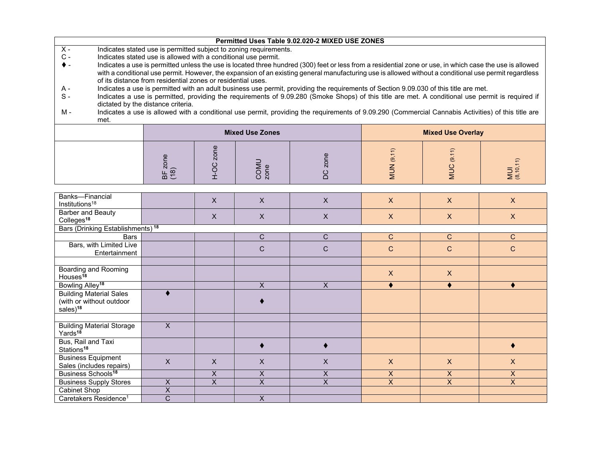| Permitted Uses Table 9.02.020-2 MIXED USE ZONES |  |
|-------------------------------------------------|--|
|-------------------------------------------------|--|

- X Indicates stated use is permitted subject to zoning requirements.<br>C Indicates stated use is allowed with a conditional use permit.
- $C -$  Indicates stated use is allowed with a conditional use permit.<br>  $\blacklozenge$  Indicates a use is permitted unless the use is located three hure
- Indicates a use is permitted unless the use is located three hundred (300) feet or less from a residential zone or use, in which case the use is allowed with a conditional use permit. However, the expansion of an existing general manufacturing use is allowed without a conditional use permit regardless of its distance from residential zones or residential uses.
- Indicates a use is permitted with an adult business use permit, providing the requirements of Section 9.09.030 of this title are met. A -
- $S -$ Indicates a use is permitted, providing the requirements of 9.09.280 (Smoke Shops) of this title are met. A conditional use permit is required if dictated by the distance criteria.
- M Indicates a use is allowed with a conditional use permit, providing the requirements of 9.09.290 (Commercial Cannabis Activities) of this title are met.

|                   | <b>Mixed Use Zones</b> |  | <b>Mixed Use Overlay</b> |                                                            |                                 |
|-------------------|------------------------|--|--------------------------|------------------------------------------------------------|---------------------------------|
| $\text{m} \Sigma$ | N                      |  | $\overline{\phantom{0}}$ | $\overline{\phantom{1}}$<br>$\overline{\phantom{0}}$<br>ၜႍ | $\overline{\phantom{0}}$<br>ق ≧ |

| Banks-Financial<br>Institutions <sup>18</sup>                                      |   | X                       | X                       | $\mathsf X$ | $\mathsf{X}$   | $\mathsf{X}$ | $\mathsf{X}$   |
|------------------------------------------------------------------------------------|---|-------------------------|-------------------------|-------------|----------------|--------------|----------------|
| Barber and Beauty<br>Colleges <sup>18</sup>                                        |   | X                       | X                       | $\times$    | $\mathsf{X}$   | X            | $\mathsf{X}$   |
| Bars (Drinking Establishments) <sup>18</sup>                                       |   |                         |                         |             |                |              |                |
| <b>Bars</b>                                                                        |   |                         | $\mathsf{C}$            | C           | $\mathsf{C}$   | $\mathsf{C}$ | C              |
| Bars, with Limited Live<br>Entertainment                                           |   |                         | $\mathsf{C}$            | C           | C              | C            | C              |
|                                                                                    |   |                         |                         |             |                |              |                |
| Boarding and Rooming<br>Houses <sup>18</sup>                                       |   |                         |                         |             | $\mathsf{X}$   | $\mathsf{X}$ |                |
| Bowling Alley <sup>18</sup>                                                        |   |                         | X                       | X           |                |              |                |
| <b>Building Material Sales</b><br>(with or without outdoor<br>sales) <sup>18</sup> |   |                         |                         |             |                |              |                |
|                                                                                    |   |                         |                         |             |                |              |                |
| <b>Building Material Storage</b><br>Yards <sup>18</sup>                            | X |                         |                         |             |                |              |                |
| Bus, Rail and Taxi<br>Stations <sup>18</sup>                                       |   |                         |                         |             |                |              |                |
| <b>Business Equipment</b><br>Sales (includes repairs)                              | X | X                       | X                       | X           | $\mathsf{X}$   | $\mathsf{X}$ | $\mathsf{X}$   |
| Business Schools <sup>18</sup>                                                     |   | X                       | X                       | X           | X              | X            | X              |
| <b>Business Supply Stores</b>                                                      | X | $\overline{\mathsf{x}}$ | $\overline{\mathsf{x}}$ | X           | $\overline{X}$ | $\mathsf{X}$ | $\overline{X}$ |
| Cabinet Shop                                                                       | X |                         |                         |             |                |              |                |
| Caretakers Residence <sup>1</sup>                                                  | C |                         | X                       |             |                |              |                |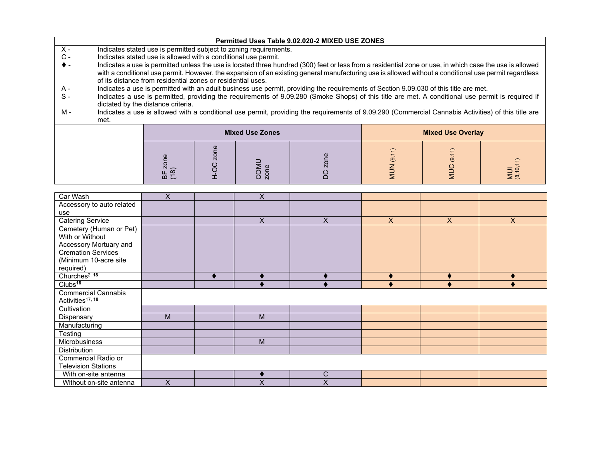|       |      |                                                                |      |                                                                   | Permitted Uses Table 9.02.020-2 MIXED USE ZONES                                                                                                                                                                                                                                                                   |                       |                          |                  |
|-------|------|----------------------------------------------------------------|------|-------------------------------------------------------------------|-------------------------------------------------------------------------------------------------------------------------------------------------------------------------------------------------------------------------------------------------------------------------------------------------------------------|-----------------------|--------------------------|------------------|
| $X -$ |      |                                                                |      | Indicates stated use is permitted subject to zoning requirements. |                                                                                                                                                                                                                                                                                                                   |                       |                          |                  |
| $C -$ |      | Indicates stated use is allowed with a conditional use permit. |      |                                                                   |                                                                                                                                                                                                                                                                                                                   |                       |                          |                  |
|       |      | of its distance from residential zones or residential uses.    |      |                                                                   | Indicates a use is permitted unless the use is located three hundred (300) feet or less from a residential zone or use, in which case the use is allowed<br>with a conditional use permit. However, the expansion of an existing general manufacturing use is allowed without a conditional use permit regardless |                       |                          |                  |
| A -   |      |                                                                |      |                                                                   | Indicates a use is permitted with an adult business use permit, providing the requirements of Section 9.09.030 of this title are met.                                                                                                                                                                             |                       |                          |                  |
| $S-$  |      | dictated by the distance criteria.                             |      |                                                                   | Indicates a use is permitted, providing the requirements of 9.09.280 (Smoke Shops) of this title are met. A conditional use permit is required if                                                                                                                                                                 |                       |                          |                  |
| M -   | met. |                                                                |      |                                                                   | Indicates a use is allowed with a conditional use permit, providing the requirements of 9.09.290 (Commercial Cannabis Activities) of this title are                                                                                                                                                               |                       |                          |                  |
|       |      |                                                                |      | <b>Mixed Use Zones</b>                                            |                                                                                                                                                                                                                                                                                                                   |                       | <b>Mixed Use Overlay</b> |                  |
|       |      | zone<br>BF z<br>(18)                                           | zone | COMU<br>zone                                                      |                                                                                                                                                                                                                                                                                                                   | (9, 11)<br><b>NUN</b> | (9.11)<br><b>DOM</b>     | MUI<br>(8,10,11) |

| Car Wash                     | X | X                         |   |              |              |                |
|------------------------------|---|---------------------------|---|--------------|--------------|----------------|
| Accessory to auto related    |   |                           |   |              |              |                |
| use                          |   |                           |   |              |              |                |
| <b>Catering Service</b>      |   | $\boldsymbol{\mathsf{X}}$ | X | $\mathsf{X}$ | $\mathsf{X}$ | $\pmb{\times}$ |
| Cemetery (Human or Pet)      |   |                           |   |              |              |                |
| With or Without              |   |                           |   |              |              |                |
| Accessory Mortuary and       |   |                           |   |              |              |                |
| Cremation Services           |   |                           |   |              |              |                |
| (Minimum 10-acre site        |   |                           |   |              |              |                |
| required)                    |   |                           |   |              |              |                |
| Churches <sup>2, 18</sup>    |   |                           |   |              |              |                |
| Clubs <sup>18</sup>          |   |                           |   |              |              |                |
| <b>Commercial Cannabis</b>   |   |                           |   |              |              |                |
| Activities <sup>17, 18</sup> |   |                           |   |              |              |                |
| Cultivation                  |   |                           |   |              |              |                |
| Dispensary                   | M | M                         |   |              |              |                |
| Manufacturing                |   |                           |   |              |              |                |
| Testing                      |   |                           |   |              |              |                |
| Microbusiness                |   | M                         |   |              |              |                |
| Distribution                 |   |                           |   |              |              |                |
| <b>Commercial Radio or</b>   |   |                           |   |              |              |                |
| <b>Television Stations</b>   |   |                           |   |              |              |                |
| With on-site antenna         |   |                           | C |              |              |                |
| Without on-site antenna      | X | $\checkmark$              | X |              |              |                |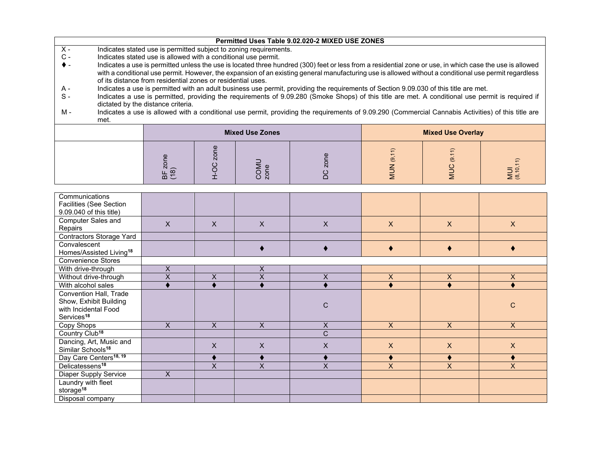|       |      |                                                                |                     |                                                                   | Permitted Uses Table 9.02.020-2 MIXED USE ZONES                                                                                                                                                                                                                                                                   |                |                          |                  |
|-------|------|----------------------------------------------------------------|---------------------|-------------------------------------------------------------------|-------------------------------------------------------------------------------------------------------------------------------------------------------------------------------------------------------------------------------------------------------------------------------------------------------------------|----------------|--------------------------|------------------|
| $X -$ |      |                                                                |                     | Indicates stated use is permitted subject to zoning requirements. |                                                                                                                                                                                                                                                                                                                   |                |                          |                  |
| С -   |      | Indicates stated use is allowed with a conditional use permit. |                     |                                                                   |                                                                                                                                                                                                                                                                                                                   |                |                          |                  |
|       |      | of its distance from residential zones or residential uses.    |                     |                                                                   | Indicates a use is permitted unless the use is located three hundred (300) feet or less from a residential zone or use, in which case the use is allowed<br>with a conditional use permit. However, the expansion of an existing general manufacturing use is allowed without a conditional use permit regardless |                |                          |                  |
| A -   |      |                                                                |                     |                                                                   | Indicates a use is permitted with an adult business use permit, providing the requirements of Section 9.09.030 of this title are met.                                                                                                                                                                             |                |                          |                  |
| $S-$  |      | dictated by the distance criteria.                             |                     |                                                                   | Indicates a use is permitted, providing the requirements of 9.09.280 (Smoke Shops) of this title are met. A conditional use permit is required if                                                                                                                                                                 |                |                          |                  |
| м -   | met. |                                                                |                     |                                                                   | Indicates a use is allowed with a conditional use permit, providing the requirements of 9.09.290 (Commercial Cannabis Activities) of this title are                                                                                                                                                               |                |                          |                  |
|       |      |                                                                |                     | <b>Mixed Use Zones</b>                                            |                                                                                                                                                                                                                                                                                                                   |                | <b>Mixed Use Overlay</b> |                  |
|       |      | BF zone<br>(18)                                                | zone<br>$rac{C}{1}$ | COMU<br>zone                                                      |                                                                                                                                                                                                                                                                                                                   | (9, 11)<br>NUN | (9.11)<br>SUM            | MUI<br>(8,10,11) |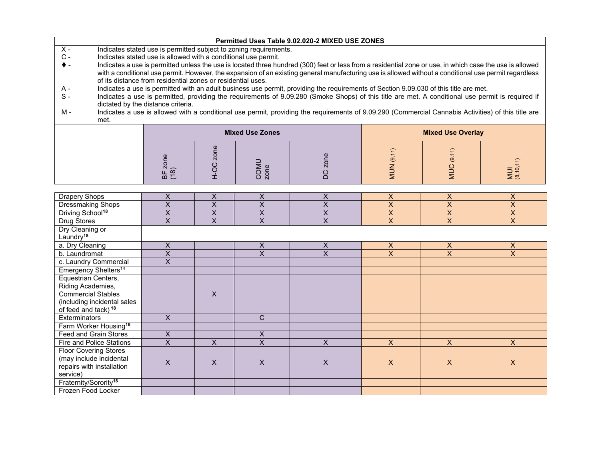|                                  |                                                                |                                                                                                                                                          |                                                                   | Permitted Uses Table 9.02.020-2 MIXED USE ZONES                                                                                                     |                         |                          |                         |  |  |  |  |  |
|----------------------------------|----------------------------------------------------------------|----------------------------------------------------------------------------------------------------------------------------------------------------------|-------------------------------------------------------------------|-----------------------------------------------------------------------------------------------------------------------------------------------------|-------------------------|--------------------------|-------------------------|--|--|--|--|--|
| $X -$                            |                                                                |                                                                                                                                                          | Indicates stated use is permitted subject to zoning requirements. |                                                                                                                                                     |                         |                          |                         |  |  |  |  |  |
| $\mathtt{C}$ -                   | Indicates stated use is allowed with a conditional use permit. |                                                                                                                                                          |                                                                   |                                                                                                                                                     |                         |                          |                         |  |  |  |  |  |
| $\bullet$ -                      |                                                                | Indicates a use is permitted unless the use is located three hundred (300) feet or less from a residential zone or use, in which case the use is allowed |                                                                   |                                                                                                                                                     |                         |                          |                         |  |  |  |  |  |
|                                  |                                                                | with a conditional use permit. However, the expansion of an existing general manufacturing use is allowed without a conditional use permit regardless    |                                                                   |                                                                                                                                                     |                         |                          |                         |  |  |  |  |  |
|                                  |                                                                | of its distance from residential zones or residential uses.                                                                                              |                                                                   |                                                                                                                                                     |                         |                          |                         |  |  |  |  |  |
| A -                              |                                                                |                                                                                                                                                          |                                                                   | Indicates a use is permitted with an adult business use permit, providing the requirements of Section 9.09.030 of this title are met.               |                         |                          |                         |  |  |  |  |  |
| $S -$                            | dictated by the distance criteria.                             |                                                                                                                                                          |                                                                   | Indicates a use is permitted, providing the requirements of 9.09.280 (Smoke Shops) of this title are met. A conditional use permit is required if   |                         |                          |                         |  |  |  |  |  |
| M -<br>met.                      |                                                                |                                                                                                                                                          |                                                                   | Indicates a use is allowed with a conditional use permit, providing the requirements of 9.09.290 (Commercial Cannabis Activities) of this title are |                         |                          |                         |  |  |  |  |  |
|                                  |                                                                |                                                                                                                                                          | <b>Mixed Use Zones</b>                                            |                                                                                                                                                     |                         | <b>Mixed Use Overlay</b> |                         |  |  |  |  |  |
|                                  | BF zone<br>(18)                                                | H-OC zone                                                                                                                                                | COMU<br>zone                                                      | zone<br><b>DC</b>                                                                                                                                   | MUN (9,11)              | <b>MUC</b> (9.11)        | MUI<br>(8,10,11)        |  |  |  |  |  |
| Drapery Shops                    | X                                                              | X                                                                                                                                                        | X                                                                 | X                                                                                                                                                   | X                       | $\pmb{\times}$           | $\mathsf{X}$            |  |  |  |  |  |
| <b>Dressmaking Shops</b>         | $\overline{\mathsf{x}}$                                        | $\overline{\mathsf{x}}$                                                                                                                                  | $\overline{\mathsf{x}}$                                           | $\overline{\mathsf{x}}$                                                                                                                             | $\overline{\mathsf{x}}$ | $\overline{\mathsf{x}}$  | $\overline{\mathsf{x}}$ |  |  |  |  |  |
| Driving School <sup>18</sup>     | $\overline{X}$                                                 | X                                                                                                                                                        | X                                                                 | X                                                                                                                                                   | $\overline{\mathsf{x}}$ | X                        | $\overline{X}$          |  |  |  |  |  |
| Drug Stores                      | X                                                              | X                                                                                                                                                        | X                                                                 | X                                                                                                                                                   | X                       | X                        | $\mathsf{X}$            |  |  |  |  |  |
| Dry Cleaning or                  |                                                                |                                                                                                                                                          |                                                                   |                                                                                                                                                     |                         |                          |                         |  |  |  |  |  |
| Laundry <sup>18</sup>            |                                                                |                                                                                                                                                          |                                                                   |                                                                                                                                                     |                         |                          |                         |  |  |  |  |  |
| a. Dry Cleaning                  | X                                                              |                                                                                                                                                          | X                                                                 | X                                                                                                                                                   | X                       | X                        | $\mathsf{X}$            |  |  |  |  |  |
| b. Laundromat                    | X                                                              |                                                                                                                                                          | X                                                                 | X                                                                                                                                                   | $\mathsf{X}$            | $\mathsf{X}$             | $\mathsf{X}$            |  |  |  |  |  |
| c. Laundry Commercial            | $\mathsf{X}$                                                   |                                                                                                                                                          |                                                                   |                                                                                                                                                     |                         |                          |                         |  |  |  |  |  |
| Emergency Shelters <sup>14</sup> |                                                                |                                                                                                                                                          |                                                                   |                                                                                                                                                     |                         |                          |                         |  |  |  |  |  |

X

 $\overline{C}$ 

 $\frac{x}{x}$ 

Fire and Police Stations X X X X X X X

X X X X X X X

 $\overline{X}$ 

 $\mathsf{X}^{\perp}$ 

Exterminators X C

Feed and Grain Stores X X

Equestrian Centers, Riding Academies, Commercial Stables (including incidental sales of feed and tack)**<sup>18</sup>**

Farm Worker Housing**<sup>18</sup>**

Floor Covering Stores (may include incidental repairs with installation

Fraternity/Sorority**<sup>18</sup>** Frozen Food Locker

service)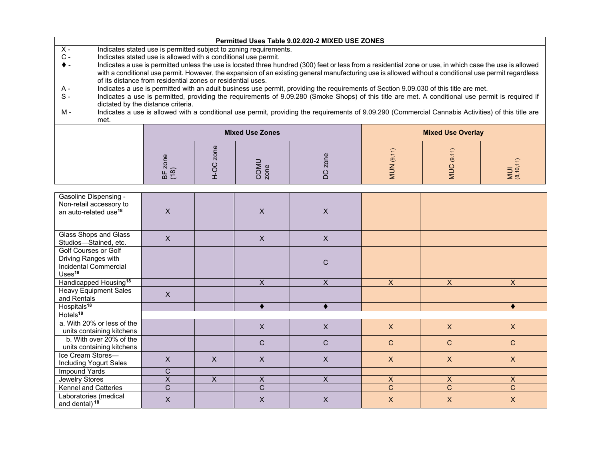|                |                                                                                                                                                                                         |                                                             |      |                                                                   | Permitted Uses Table 9.02.020-2 MIXED USE ZONES                                                                                                                                                                                                                                                                   |    |                          |                |  |  |
|----------------|-----------------------------------------------------------------------------------------------------------------------------------------------------------------------------------------|-------------------------------------------------------------|------|-------------------------------------------------------------------|-------------------------------------------------------------------------------------------------------------------------------------------------------------------------------------------------------------------------------------------------------------------------------------------------------------------|----|--------------------------|----------------|--|--|
| $X -$          |                                                                                                                                                                                         |                                                             |      | Indicates stated use is permitted subject to zoning requirements. |                                                                                                                                                                                                                                                                                                                   |    |                          |                |  |  |
| $\mathsf{C}$ - | Indicates stated use is allowed with a conditional use permit.                                                                                                                          |                                                             |      |                                                                   |                                                                                                                                                                                                                                                                                                                   |    |                          |                |  |  |
| $\bullet$ -    |                                                                                                                                                                                         | of its distance from residential zones or residential uses. |      |                                                                   | Indicates a use is permitted unless the use is located three hundred (300) feet or less from a residential zone or use, in which case the use is allowed<br>with a conditional use permit. However, the expansion of an existing general manufacturing use is allowed without a conditional use permit regardless |    |                          |                |  |  |
| A -            |                                                                                                                                                                                         |                                                             |      |                                                                   | Indicates a use is permitted with an adult business use permit, providing the requirements of Section 9.09.030 of this title are met.                                                                                                                                                                             |    |                          |                |  |  |
| $S -$          | Indicates a use is permitted, providing the requirements of 9.09.280 (Smoke Shops) of this title are met. A conditional use permit is required if<br>dictated by the distance criteria. |                                                             |      |                                                                   |                                                                                                                                                                                                                                                                                                                   |    |                          |                |  |  |
| M -            | met.                                                                                                                                                                                    |                                                             |      |                                                                   | Indicates a use is allowed with a conditional use permit, providing the requirements of 9.09.290 (Commercial Cannabis Activities) of this title are                                                                                                                                                               |    |                          |                |  |  |
|                |                                                                                                                                                                                         |                                                             |      | <b>Mixed Use Zones</b>                                            |                                                                                                                                                                                                                                                                                                                   |    | <b>Mixed Use Overlay</b> |                |  |  |
|                |                                                                                                                                                                                         | zone<br>BF 2<br>(18)                                        | zone | COMU<br>zone                                                      |                                                                                                                                                                                                                                                                                                                   | ල. |                          | MUI<br>(8,10,1 |  |  |

| <b>Gasoline Dispensing -</b><br>Non-retail accessory to<br>an auto-related use <sup>18</sup> | X              |   | $\sf X$      | X                         |                |                |                  |
|----------------------------------------------------------------------------------------------|----------------|---|--------------|---------------------------|----------------|----------------|------------------|
| Glass Shops and Glass<br>Studios-Stained, etc.                                               | $\mathsf{X}$   |   | $\sf X$      | $\boldsymbol{\mathsf{X}}$ |                |                |                  |
| Golf Courses or Golf<br>Driving Ranges with<br>Incidental Commercial<br>Uses <sup>18</sup>   |                |   |              | $\mathbf C$               |                |                |                  |
| Handicapped Housing <sup>18</sup>                                                            |                |   | $\mathsf{X}$ | X                         | $\mathsf{X}$   | $\mathsf{X}$   | $\mathsf{X}$     |
| <b>Heavy Equipment Sales</b><br>and Rentals                                                  | $\mathsf{X}$   |   |              |                           |                |                |                  |
| Hospitals <sup>18</sup>                                                                      |                |   |              |                           |                |                |                  |
| Hotels <sup>18</sup>                                                                         |                |   |              |                           |                |                |                  |
| a. With 20% or less of the<br>units containing kitchens                                      |                |   | $\mathsf{X}$ | $\mathsf{X}$              | $\mathsf{X}$   | $\mathsf{X}$   | $\mathsf{X}$     |
| b. With over 20% of the<br>units containing kitchens                                         |                |   | $\mathsf{C}$ | C                         | $\mathbf C$    | $\mathsf{C}$   | $\mathsf{C}$     |
| Ice Cream Stores-<br>Including Yogurt Sales                                                  | X              | X | X            | X                         | $\mathsf{X}$   | $\mathsf{X}$   | $\mathsf{X}$     |
| Impound Yards                                                                                | C              |   |              |                           |                |                |                  |
| Jewelry Stores                                                                               | X              | X | X            | X                         | $\mathsf{X}$   | $\mathsf{X}$   | $\mathsf{X}$     |
| Kennel and Catteries                                                                         | $\overline{C}$ |   | C            |                           | $\overline{C}$ | $\overline{C}$ | $\mathsf{C}$     |
| Laboratories (medical<br>and dental) <sup>18</sup>                                           | X              |   | X            | $\pmb{\times}$            | X              | $\mathsf{X}$   | $\boldsymbol{X}$ |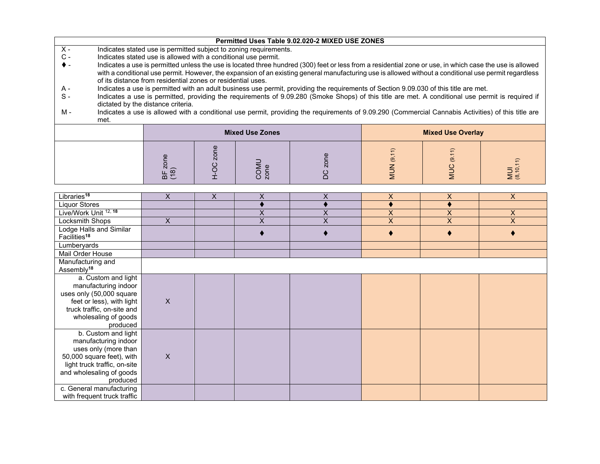|                |                                                                                                                                                                                                                                                                                                                                                                                  |                      |      |                                                                   | Permitted Uses Table 9.02.020-2 MIXED USE ZONES                                                                                                     |           |                          |                  |  |  |
|----------------|----------------------------------------------------------------------------------------------------------------------------------------------------------------------------------------------------------------------------------------------------------------------------------------------------------------------------------------------------------------------------------|----------------------|------|-------------------------------------------------------------------|-----------------------------------------------------------------------------------------------------------------------------------------------------|-----------|--------------------------|------------------|--|--|
| $X -$          |                                                                                                                                                                                                                                                                                                                                                                                  |                      |      | Indicates stated use is permitted subject to zoning requirements. |                                                                                                                                                     |           |                          |                  |  |  |
| $\mathsf{C}$ - | Indicates stated use is allowed with a conditional use permit.                                                                                                                                                                                                                                                                                                                   |                      |      |                                                                   |                                                                                                                                                     |           |                          |                  |  |  |
| $\bullet$ -    | Indicates a use is permitted unless the use is located three hundred (300) feet or less from a residential zone or use, in which case the use is allowed<br>with a conditional use permit. However, the expansion of an existing general manufacturing use is allowed without a conditional use permit regardless<br>of its distance from residential zones or residential uses. |                      |      |                                                                   |                                                                                                                                                     |           |                          |                  |  |  |
| A -            |                                                                                                                                                                                                                                                                                                                                                                                  |                      |      |                                                                   | Indicates a use is permitted with an adult business use permit, providing the requirements of Section 9.09.030 of this title are met.               |           |                          |                  |  |  |
| $S -$          | Indicates a use is permitted, providing the requirements of 9.09.280 (Smoke Shops) of this title are met. A conditional use permit is required if<br>dictated by the distance criteria.                                                                                                                                                                                          |                      |      |                                                                   |                                                                                                                                                     |           |                          |                  |  |  |
| м -            | met.                                                                                                                                                                                                                                                                                                                                                                             |                      |      |                                                                   | Indicates a use is allowed with a conditional use permit, providing the requirements of 9.09.290 (Commercial Cannabis Activities) of this title are |           |                          |                  |  |  |
|                |                                                                                                                                                                                                                                                                                                                                                                                  |                      |      | <b>Mixed Use Zones</b>                                            |                                                                                                                                                     |           | <b>Mixed Use Overlay</b> |                  |  |  |
|                |                                                                                                                                                                                                                                                                                                                                                                                  | zone<br>BF 2<br>(18) | zone | COMU<br>zone                                                      |                                                                                                                                                     | ල.<br>NUN | <u>ේ</u>                 | MUI<br>(8,10,11) |  |  |

| Libraries <sup>18</sup>                                                                                                                                                  | X            | X | X                       | Χ | X              | X                  | $\mathsf{X}$   |
|--------------------------------------------------------------------------------------------------------------------------------------------------------------------------|--------------|---|-------------------------|---|----------------|--------------------|----------------|
| <b>Liquor Stores</b>                                                                                                                                                     |              |   |                         |   |                |                    |                |
| Live/Work Unit <sup>12,18</sup>                                                                                                                                          |              |   | X                       | X | $\times$       | $\pmb{\mathsf{X}}$ | $\mathsf{X}$   |
| Locksmith Shops                                                                                                                                                          | X            |   | $\overline{\mathsf{x}}$ | X | $\overline{X}$ | $\pmb{\mathsf{X}}$ | $\pmb{\times}$ |
| Lodge Halls and Similar<br>Facilities <sup>18</sup>                                                                                                                      |              |   |                         |   |                |                    |                |
| Lumberyards                                                                                                                                                              |              |   |                         |   |                |                    |                |
| Mail Order House                                                                                                                                                         |              |   |                         |   |                |                    |                |
| Manufacturing and<br>Assembly <sup>18</sup>                                                                                                                              |              |   |                         |   |                |                    |                |
| a. Custom and light<br>manufacturing indoor<br>uses only (50,000 square<br>feet or less), with light<br>truck traffic, on-site and<br>wholesaling of goods<br>produced   | X            |   |                         |   |                |                    |                |
| b. Custom and light<br>manufacturing indoor<br>uses only (more than<br>50,000 square feet), with<br>light truck traffic, on-site<br>and wholesaling of goods<br>produced | $\mathsf{X}$ |   |                         |   |                |                    |                |
| c. General manufacturing<br>with frequent truck traffic                                                                                                                  |              |   |                         |   |                |                    |                |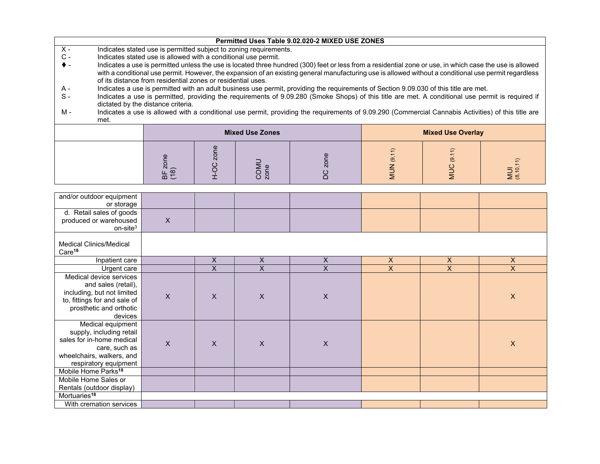|       |                                                                |                                                             |            |                                                                   | Permitted Uses Table 9.02.020-2 MIXED USE ZONES                                                                                                          |         |                          |  |  |  |  |
|-------|----------------------------------------------------------------|-------------------------------------------------------------|------------|-------------------------------------------------------------------|----------------------------------------------------------------------------------------------------------------------------------------------------------|---------|--------------------------|--|--|--|--|
| $X -$ |                                                                |                                                             |            | Indicates stated use is permitted subject to zoning requirements. |                                                                                                                                                          |         |                          |  |  |  |  |
| $C -$ | Indicates stated use is allowed with a conditional use permit. |                                                             |            |                                                                   |                                                                                                                                                          |         |                          |  |  |  |  |
| ♦ -   |                                                                |                                                             |            |                                                                   | Indicates a use is permitted unless the use is located three hundred (300) feet or less from a residential zone or use, in which case the use is allowed |         |                          |  |  |  |  |
|       |                                                                |                                                             |            |                                                                   | with a conditional use permit. However, the expansion of an existing general manufacturing use is allowed without a conditional use permit regardless    |         |                          |  |  |  |  |
|       |                                                                | of its distance from residential zones or residential uses. |            |                                                                   |                                                                                                                                                          |         |                          |  |  |  |  |
| A -   |                                                                |                                                             |            |                                                                   | Indicates a use is permitted with an adult business use permit, providing the requirements of Section 9.09.030 of this title are met.                    |         |                          |  |  |  |  |
| $S-$  |                                                                |                                                             |            |                                                                   | Indicates a use is permitted, providing the requirements of 9.09.280 (Smoke Shops) of this title are met. A conditional use permit is required if        |         |                          |  |  |  |  |
|       |                                                                | dictated by the distance criteria.                          |            |                                                                   |                                                                                                                                                          |         |                          |  |  |  |  |
| M -   |                                                                |                                                             |            |                                                                   | Indicates a use is allowed with a conditional use permit, providing the requirements of 9.09.290 (Commercial Cannabis Activities) of this title are      |         |                          |  |  |  |  |
|       | met.                                                           |                                                             |            |                                                                   |                                                                                                                                                          |         |                          |  |  |  |  |
|       |                                                                |                                                             |            | <b>Mixed Use Zones</b>                                            |                                                                                                                                                          |         | <b>Mixed Use Overlay</b> |  |  |  |  |
|       |                                                                |                                                             |            |                                                                   |                                                                                                                                                          |         |                          |  |  |  |  |
|       |                                                                |                                                             |            |                                                                   |                                                                                                                                                          |         |                          |  |  |  |  |
|       |                                                                |                                                             | zone       |                                                                   |                                                                                                                                                          | (9, 11) | (9.11)                   |  |  |  |  |
|       | zone<br>MUI<br>(8,10,11)<br>COMU<br>zone                       |                                                             |            |                                                                   |                                                                                                                                                          |         |                          |  |  |  |  |
|       |                                                                | BF <sub>3</sub>                                             | <b>DCH</b> |                                                                   | ပ<br>≏                                                                                                                                                   | NUN     | NUC                      |  |  |  |  |
|       |                                                                |                                                             |            |                                                                   |                                                                                                                                                          |         |                          |  |  |  |  |
|       |                                                                |                                                             |            |                                                                   |                                                                                                                                                          |         |                          |  |  |  |  |
|       | and/or outdoor equipment                                       |                                                             |            |                                                                   |                                                                                                                                                          |         |                          |  |  |  |  |

| and/or outdoor equipment<br>or storage                                                                                                             |                           |                         |                |                           |                |                |                           |
|----------------------------------------------------------------------------------------------------------------------------------------------------|---------------------------|-------------------------|----------------|---------------------------|----------------|----------------|---------------------------|
| d. Retail sales of goods<br>produced or warehoused<br>on-site $3$                                                                                  | $\boldsymbol{\mathsf{X}}$ |                         |                |                           |                |                |                           |
| <b>Medical Clinics/Medical</b><br>Care <sup>18</sup>                                                                                               |                           |                         |                |                           |                |                |                           |
| Inpatient care                                                                                                                                     |                           | X                       | X              | $\pmb{\mathsf{X}}$        | $\mathsf{X}$   | $\pmb{\times}$ | $\mathsf X$               |
| Urgent care                                                                                                                                        |                           | $\overline{\mathsf{x}}$ | $\overline{X}$ | $\overline{\mathsf{x}}$   | $\overline{X}$ | $\overline{X}$ | $\overline{X}$            |
| Medical device services<br>and sales (retail),<br>including, but not limited<br>to, fittings for and sale of<br>prosthetic and orthotic<br>devices | X                         | X                       | X              | $\boldsymbol{\mathsf{X}}$ |                |                | $\boldsymbol{\mathsf{X}}$ |
| Medical equipment<br>supply, including retail<br>sales for in-home medical<br>care, such as<br>wheelchairs, walkers, and<br>respiratory equipment  | $\mathsf{X}$              | X                       | X              | $\boldsymbol{\mathsf{X}}$ |                |                | $\boldsymbol{\mathsf{X}}$ |
| Mobile Home Parks <sup>18</sup>                                                                                                                    |                           |                         |                |                           |                |                |                           |
| Mobile Home Sales or<br>Rentals (outdoor display)                                                                                                  |                           |                         |                |                           |                |                |                           |
| Mortuaries <sup>18</sup>                                                                                                                           |                           |                         |                |                           |                |                |                           |
| With cremation services                                                                                                                            |                           |                         |                |                           |                |                |                           |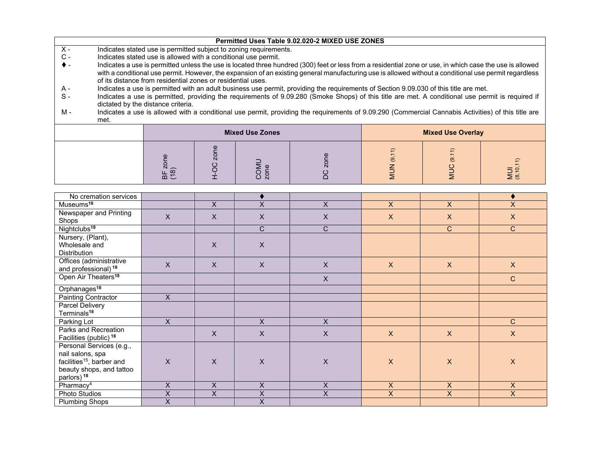|    | Permitted Uses Table 9.02.020-2 MIXED USE ZONES                   |  |
|----|-------------------------------------------------------------------|--|
| ᆺ. | Indicates stated use is permitted subject to zoning requirements. |  |

- C Indicates stated use is allowed with a conditional use permit.
- Indicates a use is permitted unless the use is located three hundred (300) feet or less from a residential zone or use, in which case the use is allowed with a conditional use permit. However, the expansion of an existing general manufacturing use is allowed without a conditional use permit regardless of its distance from residential zones or residential uses.
- Indicates a use is permitted with an adult business use permit, providing the requirements of Section 9.09.030 of this title are met. A -
- $S -$ Indicates a use is permitted, providing the requirements of 9.09.280 (Smoke Shops) of this title are met. A conditional use permit is required if dictated by the distance criteria.
- M Indicates a use is allowed with a conditional use permit, providing the requirements of 9.09.290 (Commercial Cannabis Activities) of this title are met.

|            | <b>Mixed Use Zones</b> |  | <b>Mixed Use Overlay</b> |                               |                      |
|------------|------------------------|--|--------------------------|-------------------------------|----------------------|
| $m \Sigma$ | N                      |  | $\overline{\phantom{0}}$ | $\overline{\phantom{0}}$<br>፵ | $\Rightarrow$<br>∑ ⊛ |

| No cremation services                 |                         |                         |                    |                    |                           |                           |                         |
|---------------------------------------|-------------------------|-------------------------|--------------------|--------------------|---------------------------|---------------------------|-------------------------|
| Museums <sup>18</sup>                 |                         | X                       | $\times$           | $\overline{X}$     | $\mathsf{X}$              | $\overline{X}$            | X                       |
| Newspaper and Printing                | X                       | X                       | X                  | $\mathsf X$        | $\boldsymbol{\mathsf{X}}$ | $\boldsymbol{\mathsf{X}}$ | $\mathsf{X}$            |
| Shops                                 |                         |                         |                    |                    |                           |                           |                         |
| Nightclubs <sup>18</sup>              |                         |                         | $\mathsf{C}$       | $\mathsf{C}$       |                           | $\overline{C}$            | $\mathsf{C}$            |
| Nursery, (Plant),                     |                         |                         |                    |                    |                           |                           |                         |
| Wholesale and                         |                         | $\mathsf{X}$            | $\mathsf{X}$       |                    |                           |                           |                         |
| Distribution                          |                         |                         |                    |                    |                           |                           |                         |
| Offices (administrative               | $\mathsf{X}$            | X                       | $\mathsf{X}$       | $\mathsf{X}$       | $\mathsf{X}$              | $\mathsf X$               | $\mathsf{X}$            |
| and professional) <sup>18</sup>       |                         |                         |                    |                    |                           |                           |                         |
| Open Air Theaters <sup>18</sup>       |                         |                         |                    | $\mathsf{X}$       |                           |                           | $\mathsf{C}$            |
| Orphanages <sup>18</sup>              |                         |                         |                    |                    |                           |                           |                         |
| Painting Contractor                   | $\overline{X}$          |                         |                    |                    |                           |                           |                         |
| Parcel Delivery                       |                         |                         |                    |                    |                           |                           |                         |
| Terminals <sup>18</sup>               |                         |                         |                    |                    |                           |                           |                         |
| Parking Lot                           | X                       |                         | X                  | $\overline{X}$     |                           |                           | C                       |
| Parks and Recreation                  |                         | $\mathsf X$             | $\mathsf{X}$       | $\mathsf X$        | $\mathsf{X}$              | $\mathsf X$               | $\mathsf{X}$            |
| Facilities (public) <sup>18</sup>     |                         |                         |                    |                    |                           |                           |                         |
| Personal Services (e.g.,              |                         |                         |                    |                    |                           |                           |                         |
| nail salons, spa                      |                         |                         |                    |                    |                           |                           |                         |
| facilities <sup>15</sup> , barber and | $\mathsf{X}$            | $\mathsf{X}$            | $\mathsf{X}$       | $\mathsf X$        | $\boldsymbol{\mathsf{X}}$ | $\boldsymbol{X}$          | $\pmb{\times}$          |
| beauty shops, and tattoo              |                         |                         |                    |                    |                           |                           |                         |
| parlors) <sup>18</sup>                |                         |                         |                    |                    |                           |                           |                         |
| Pharmacy <sup>4</sup>                 | X                       | X                       | $\pmb{\mathsf{X}}$ | $\pmb{\mathsf{X}}$ | X                         | $\boldsymbol{\mathsf{X}}$ | X                       |
| Photo Studios                         | $\overline{X}$          | $\overline{\mathsf{x}}$ | $\overline{X}$     | $\overline{X}$     | $\overline{X}$            | $\overline{\mathsf{x}}$   | $\overline{\mathsf{x}}$ |
| <b>Plumbing Shops</b>                 | $\overline{\mathsf{x}}$ |                         | X                  |                    |                           |                           |                         |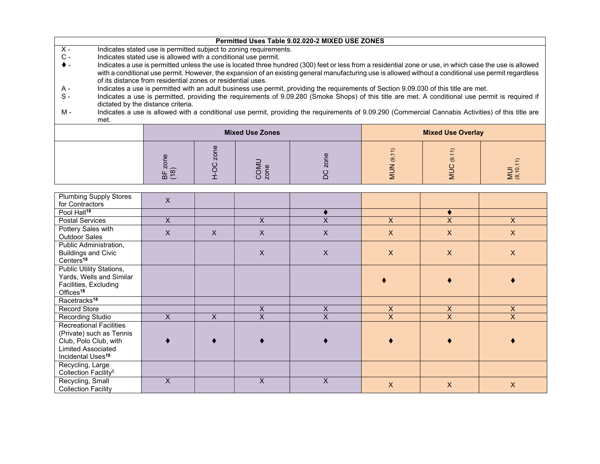|                |                                                                                                                                                                                         |                                                             |      |                                                                   | Permitted Uses Table 9.02.020-2 MIXED USE ZONES                                                                                                                                                                                                                                                                   |                |                          |                  |  |  |
|----------------|-----------------------------------------------------------------------------------------------------------------------------------------------------------------------------------------|-------------------------------------------------------------|------|-------------------------------------------------------------------|-------------------------------------------------------------------------------------------------------------------------------------------------------------------------------------------------------------------------------------------------------------------------------------------------------------------|----------------|--------------------------|------------------|--|--|
| $X -$          |                                                                                                                                                                                         |                                                             |      | Indicates stated use is permitted subject to zoning requirements. |                                                                                                                                                                                                                                                                                                                   |                |                          |                  |  |  |
| $\mathsf{C}$ - | Indicates stated use is allowed with a conditional use permit.                                                                                                                          |                                                             |      |                                                                   |                                                                                                                                                                                                                                                                                                                   |                |                          |                  |  |  |
| $\bullet$ -    |                                                                                                                                                                                         | of its distance from residential zones or residential uses. |      |                                                                   | Indicates a use is permitted unless the use is located three hundred (300) feet or less from a residential zone or use, in which case the use is allowed<br>with a conditional use permit. However, the expansion of an existing general manufacturing use is allowed without a conditional use permit regardless |                |                          |                  |  |  |
| A -            |                                                                                                                                                                                         |                                                             |      |                                                                   | Indicates a use is permitted with an adult business use permit, providing the requirements of Section 9.09.030 of this title are met.                                                                                                                                                                             |                |                          |                  |  |  |
| $S -$          | Indicates a use is permitted, providing the requirements of 9.09.280 (Smoke Shops) of this title are met. A conditional use permit is required if<br>dictated by the distance criteria. |                                                             |      |                                                                   |                                                                                                                                                                                                                                                                                                                   |                |                          |                  |  |  |
| M -            | met.                                                                                                                                                                                    |                                                             |      |                                                                   | Indicates a use is allowed with a conditional use permit, providing the requirements of 9.09.290 (Commercial Cannabis Activities) of this title are                                                                                                                                                               |                |                          |                  |  |  |
|                |                                                                                                                                                                                         |                                                             |      | <b>Mixed Use Zones</b>                                            |                                                                                                                                                                                                                                                                                                                   |                | <b>Mixed Use Overlay</b> |                  |  |  |
|                |                                                                                                                                                                                         | zone<br>BF 2<br>(18)                                        | zone | COMU<br>zone                                                      |                                                                                                                                                                                                                                                                                                                   | (9, 11)<br>NUN | <u>ේ</u>                 | MUI<br>(8,10,11) |  |  |

| <b>Plumbing Supply Stores</b><br>for Contractors    | $\mathsf{X}$   |   |              |          |              |                |                           |
|-----------------------------------------------------|----------------|---|--------------|----------|--------------|----------------|---------------------------|
|                                                     |                |   |              |          |              |                |                           |
| Pool Hall <sup>18</sup>                             |                |   |              |          |              |                |                           |
| <b>Postal Services</b>                              | $\overline{X}$ |   | X            | $\times$ | $\mathsf{X}$ | $\overline{X}$ | X                         |
| Pottery Sales with<br>Outdoor Sales                 | $\mathsf{X}$   | X | $\mathsf{x}$ | X        | $\mathsf{X}$ | X              | $\boldsymbol{\mathsf{X}}$ |
| Public Administration,                              |                |   |              |          |              |                |                           |
| <b>Buildings and Civic</b><br>Centers <sup>18</sup> |                |   | X            | X        | X            | X              | $\boldsymbol{\mathsf{X}}$ |
| Public Utility Stations,                            |                |   |              |          |              |                |                           |
| Yards, Wells and Similar                            |                |   |              |          |              |                |                           |
| Facilities, Excluding                               |                |   |              |          |              |                |                           |
| Offices <sup>18</sup>                               |                |   |              |          |              |                |                           |
| Racetracks <sup>18</sup>                            |                |   |              |          |              |                |                           |
| Record Store                                        |                |   | X            | X        | X            | X              | X                         |
| Recording Studio                                    | $\overline{X}$ | X | X            | X        | X            | X              | X                         |
| <b>Recreational Facilities</b>                      |                |   |              |          |              |                |                           |
| (Private) such as Tennis                            |                |   |              |          |              |                |                           |
| Club, Polo Club, with                               |                |   |              |          |              |                |                           |
| <b>Limited Associated</b>                           |                |   |              |          |              |                |                           |
| Incidental Uses <sup>18</sup>                       |                |   |              |          |              |                |                           |
| Recycling, Large                                    |                |   |              |          |              |                |                           |
| Collection Facility <sup>5</sup>                    |                |   |              |          |              |                |                           |
| Recycling, Small                                    | X              |   | $\mathsf{X}$ | X        | $\mathsf{X}$ | $\pmb{\times}$ | $\mathsf{X}$              |
| <b>Collection Facility</b>                          |                |   |              |          |              |                |                           |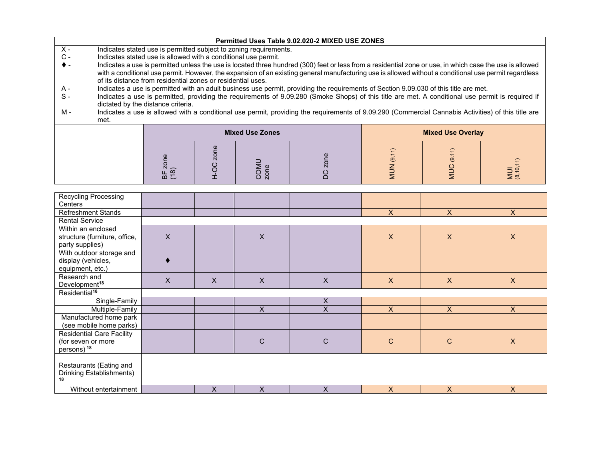| $X -$<br>$\mathsf{C}$ -<br>$\bullet$ - | Permitted Uses Table 9.02.020-2 MIXED USE ZONES<br>Indicates stated use is permitted subject to zoning requirements.<br>Indicates stated use is allowed with a conditional use permit.<br>Indicates a use is permitted unless the use is located three hundred (300) feet or less from a residential zone or use, in which case the use is allowed<br>with a conditional use permit. However, the expansion of an existing general manufacturing use is allowed without a conditional use permit regardless<br>of its distance from residential zones or residential uses. |                                    |  |                        |                                                                                                                                                                                                                                                                                                                                                                                                                                                   |  |                          |  |
|----------------------------------------|----------------------------------------------------------------------------------------------------------------------------------------------------------------------------------------------------------------------------------------------------------------------------------------------------------------------------------------------------------------------------------------------------------------------------------------------------------------------------------------------------------------------------------------------------------------------------|------------------------------------|--|------------------------|---------------------------------------------------------------------------------------------------------------------------------------------------------------------------------------------------------------------------------------------------------------------------------------------------------------------------------------------------------------------------------------------------------------------------------------------------|--|--------------------------|--|
| A -<br>$S -$<br>M -                    | met.                                                                                                                                                                                                                                                                                                                                                                                                                                                                                                                                                                       | dictated by the distance criteria. |  |                        | Indicates a use is permitted with an adult business use permit, providing the requirements of Section 9.09.030 of this title are met.<br>Indicates a use is permitted, providing the requirements of 9.09.280 (Smoke Shops) of this title are met. A conditional use permit is required if<br>Indicates a use is allowed with a conditional use permit, providing the requirements of 9.09.290 (Commercial Cannabis Activities) of this title are |  |                          |  |
|                                        |                                                                                                                                                                                                                                                                                                                                                                                                                                                                                                                                                                            |                                    |  | <b>Mixed Use Zones</b> |                                                                                                                                                                                                                                                                                                                                                                                                                                                   |  | <b>Mixed Use Overlay</b> |  |
|                                        | zone<br>(9.11)<br>zone<br>ල.<br>MUI<br>(8,10,11)<br>COMU<br>zone<br><b>DOM</b><br>BF 2<br>(18)                                                                                                                                                                                                                                                                                                                                                                                                                                                                             |                                    |  |                        |                                                                                                                                                                                                                                                                                                                                                                                                                                                   |  |                          |  |

| <b>Recycling Processing</b>      |              |   |   |   |              |                           |                           |
|----------------------------------|--------------|---|---|---|--------------|---------------------------|---------------------------|
| Centers                          |              |   |   |   |              |                           |                           |
| Refreshment Stands               |              |   |   |   | X            | X                         | $\mathsf{X}$              |
| <b>Rental Service</b>            |              |   |   |   |              |                           |                           |
| Within an enclosed               |              |   |   |   |              |                           |                           |
| structure (furniture, office,    | $\mathsf{X}$ |   | X |   | X            | $\boldsymbol{\mathsf{X}}$ | $\boldsymbol{\mathsf{X}}$ |
| party supplies)                  |              |   |   |   |              |                           |                           |
| With outdoor storage and         |              |   |   |   |              |                           |                           |
| display (vehicles,               |              |   |   |   |              |                           |                           |
| equipment, etc.)                 |              |   |   |   |              |                           |                           |
| Research and                     |              |   |   |   |              |                           |                           |
| Development <sup>18</sup>        | X            | X | X | X | $\mathsf{X}$ | $\mathsf{X}$              | $\mathsf{X}$              |
| Residential <sup>18</sup>        |              |   |   |   |              |                           |                           |
| Single-Family                    |              |   |   | X |              |                           |                           |
| Multiple-Family                  |              |   | X | X | $\mathsf{X}$ | $\mathsf{X}$              | X                         |
| Manufactured home park           |              |   |   |   |              |                           |                           |
| (see mobile home parks)          |              |   |   |   |              |                           |                           |
| <b>Residential Care Facility</b> |              |   |   |   |              |                           |                           |
| (for seven or more               |              |   | C | C | $\mathbf C$  | $\mathsf{C}$              | $\mathsf{X}$              |
| persons) <sup>18</sup>           |              |   |   |   |              |                           |                           |
|                                  |              |   |   |   |              |                           |                           |
| Restaurants (Eating and          |              |   |   |   |              |                           |                           |
| Drinking Establishments)         |              |   |   |   |              |                           |                           |
| 18                               |              |   |   |   |              |                           |                           |
| Without entertainment            |              | X | X | X | X            | $\mathsf{X}$              | $\mathsf{X}$              |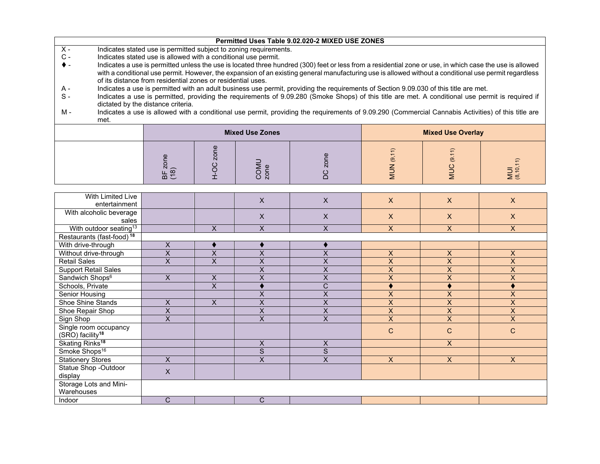|       | Permitted Uses Table 9.02.020-2 MIXED USE ZONES                                                                                                             |                                                                |           |                        |                                                                                                                                                          |         |                          |                  |
|-------|-------------------------------------------------------------------------------------------------------------------------------------------------------------|----------------------------------------------------------------|-----------|------------------------|----------------------------------------------------------------------------------------------------------------------------------------------------------|---------|--------------------------|------------------|
| $X -$ | Indicates stated use is permitted subject to zoning requirements.                                                                                           |                                                                |           |                        |                                                                                                                                                          |         |                          |                  |
| $C -$ |                                                                                                                                                             | Indicates stated use is allowed with a conditional use permit. |           |                        |                                                                                                                                                          |         |                          |                  |
| ▶ –   |                                                                                                                                                             |                                                                |           |                        | Indicates a use is permitted unless the use is located three hundred (300) feet or less from a residential zone or use, in which case the use is allowed |         |                          |                  |
|       |                                                                                                                                                             |                                                                |           |                        | with a conditional use permit. However, the expansion of an existing general manufacturing use is allowed without a conditional use permit regardless    |         |                          |                  |
|       |                                                                                                                                                             | of its distance from residential zones or residential uses.    |           |                        |                                                                                                                                                          |         |                          |                  |
| A -   |                                                                                                                                                             |                                                                |           |                        | Indicates a use is permitted with an adult business use permit, providing the requirements of Section 9.09.030 of this title are met.                    |         |                          |                  |
| $S -$ |                                                                                                                                                             |                                                                |           |                        | Indicates a use is permitted, providing the requirements of 9.09.280 (Smoke Shops) of this title are met. A conditional use permit is required if        |         |                          |                  |
|       |                                                                                                                                                             | dictated by the distance criteria.                             |           |                        |                                                                                                                                                          |         |                          |                  |
| M -   |                                                                                                                                                             |                                                                |           |                        |                                                                                                                                                          |         |                          |                  |
|       | Indicates a use is allowed with a conditional use permit, providing the requirements of 9.09.290 (Commercial Cannabis Activities) of this title are<br>met. |                                                                |           |                        |                                                                                                                                                          |         |                          |                  |
|       |                                                                                                                                                             |                                                                |           |                        |                                                                                                                                                          |         |                          |                  |
|       |                                                                                                                                                             |                                                                |           |                        |                                                                                                                                                          |         |                          |                  |
|       |                                                                                                                                                             |                                                                |           | <b>Mixed Use Zones</b> |                                                                                                                                                          |         | <b>Mixed Use Overlay</b> |                  |
|       |                                                                                                                                                             |                                                                |           |                        |                                                                                                                                                          |         |                          |                  |
|       |                                                                                                                                                             |                                                                |           |                        |                                                                                                                                                          |         |                          |                  |
|       |                                                                                                                                                             |                                                                | zone      |                        |                                                                                                                                                          | (9, 11) | <u>ය</u>                 |                  |
|       |                                                                                                                                                             |                                                                |           |                        |                                                                                                                                                          |         |                          |                  |
|       |                                                                                                                                                             | BF zone<br>(18)                                                | <b>DC</b> | COMU<br>zone           |                                                                                                                                                          | NUN     | NUC                      | MUI<br>(8,10,11) |
|       |                                                                                                                                                             |                                                                |           |                        |                                                                                                                                                          |         |                          |                  |

| With Limited Live                     |                         |                         | X                       | X                     | X                  | $\mathsf{X}$   | X                         |
|---------------------------------------|-------------------------|-------------------------|-------------------------|-----------------------|--------------------|----------------|---------------------------|
| entertainment                         |                         |                         |                         |                       |                    |                |                           |
| With alcoholic beverage               |                         |                         | X                       | X                     | X                  | $\mathsf{X}$   | $\boldsymbol{\mathsf{X}}$ |
| sales                                 |                         |                         |                         |                       |                    |                |                           |
| With outdoor seating <sup>13</sup>    |                         | X                       | X                       | X                     | X                  | $\mathsf{X}$   | $\mathsf{X}$              |
| Restaurants (fast-food) <sup>18</sup> |                         |                         |                         |                       |                    |                |                           |
| With drive-through                    | X                       |                         |                         |                       |                    |                |                           |
| Without drive-through                 | X                       | Χ                       | X                       | Χ                     | X                  | X              | $\boldsymbol{\mathsf{X}}$ |
| <b>Retail Sales</b>                   | $\overline{\mathsf{x}}$ | $\overline{\mathsf{x}}$ | X                       | X                     | X                  | $\pmb{\times}$ | X                         |
| Support Retail Sales                  |                         |                         | X                       | X                     | X                  | X              | $\pmb{\mathsf{X}}$        |
| Sandwich Shops <sup>6</sup>           | X                       | X                       | X                       | X                     | $\pmb{\mathsf{X}}$ | $\mathsf X$    | X                         |
| Schools, Private                      |                         | $\overline{\mathsf{x}}$ |                         | $\overline{\text{c}}$ |                    |                |                           |
| Senior Housing                        |                         |                         | X                       | X                     | X                  | $\overline{X}$ | $\pmb{\times}$            |
| Shoe Shine Stands                     | X                       | $\mathsf{X}$            | X                       | X                     | X                  | X              | X                         |
| Shoe Repair Shop                      | X                       |                         | X                       | X                     | X                  | $\pmb{\times}$ | X                         |
| Sign Shop                             | X                       |                         | X                       | X                     | X                  | X              | X                         |
| Single room occupancy                 |                         |                         |                         |                       | $\mathsf{C}$       | $\mathsf{C}$   | $\mathsf{C}$              |
| (SRO) facility <sup>18</sup>          |                         |                         |                         |                       |                    |                |                           |
| Skating Rinks <sup>18</sup>           |                         |                         | $\pmb{\mathsf{X}}$      | $\mathsf{X}$          |                    | $\mathsf{X}$   |                           |
| Smoke Shops <sup>16</sup>             |                         |                         | $\overline{\mathsf{s}}$ | $\overline{S}$        |                    |                |                           |
| <b>Stationery Stores</b>              | X                       |                         | X                       | X                     | $\times$           | $\mathsf{X}$   | X                         |
| Statue Shop -Outdoor                  | X                       |                         |                         |                       |                    |                |                           |
| display                               |                         |                         |                         |                       |                    |                |                           |
| Storage Lots and Mini-                |                         |                         |                         |                       |                    |                |                           |
| Warehouses                            |                         |                         |                         |                       |                    |                |                           |
| Indoor                                | C                       |                         | C                       |                       |                    |                |                           |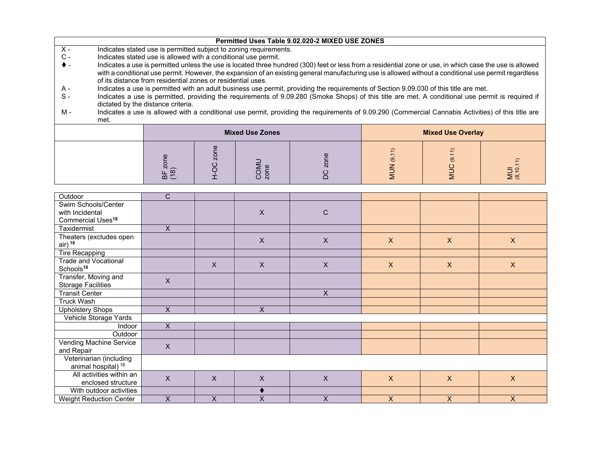| Permitted Uses Table 9.02.020-2 MIXED USE ZONES |  |
|-------------------------------------------------|--|
|-------------------------------------------------|--|

- X Indicates stated use is permitted subject to zoning requirements.<br>C Indicates stated use is allowed with a conditional use permit.
- $C -$  Indicates stated use is allowed with a conditional use permit.<br>  $\blacklozenge$  Indicates a use is permitted unless the use is located three hure
- Indicates a use is permitted unless the use is located three hundred (300) feet or less from a residential zone or use, in which case the use is allowed with a conditional use permit. However, the expansion of an existing general manufacturing use is allowed without a conditional use permit regardless of its distance from residential zones or residential uses.
- Indicates a use is permitted with an adult business use permit, providing the requirements of Section 9.09.030 of this title are met. A -
- $S -$ Indicates a use is permitted, providing the requirements of 9.09.280 (Smoke Shops) of this title are met. A conditional use permit is required if dictated by the distance criteria.
- M Indicates a use is allowed with a conditional use permit, providing the requirements of 9.09.290 (Commercial Cannabis Activities) of this title are met.

|            | <b>Mixed Use Zones</b> |  | <b>Mixed Use Overlay</b> |                               |                      |
|------------|------------------------|--|--------------------------|-------------------------------|----------------------|
| $\epsilon$ |                        |  | $\overline{\phantom{0}}$ | $\overline{\phantom{0}}$<br>፵ | $\Rightarrow$<br>ق ≧ |

| Outdoor                                              | $\mathsf{C}$   |              |                |                           |                           |              |              |
|------------------------------------------------------|----------------|--------------|----------------|---------------------------|---------------------------|--------------|--------------|
| Swim Schools/Center                                  |                |              |                |                           |                           |              |              |
| with Incidental                                      |                |              | $\times$       | C                         |                           |              |              |
| Commercial Uses <sup>18</sup>                        |                |              |                |                           |                           |              |              |
| Taxidermist                                          | X.             |              |                |                           |                           |              |              |
| Theaters (excludes open<br>air) <sup>18</sup>        |                |              | $\pmb{\times}$ | $\boldsymbol{\mathsf{X}}$ | $\mathsf{X}$              | $\mathsf{X}$ | $\mathsf{X}$ |
| Tire Recapping                                       |                |              |                |                           |                           |              |              |
| <b>Trade and Vocational</b><br>Schools <sup>18</sup> |                | $\mathsf{X}$ | $\times$       | $\pmb{\times}$            | $\boldsymbol{\mathsf{X}}$ | $\mathsf{X}$ | $\mathsf{X}$ |
| Transfer, Moving and                                 | X              |              |                |                           |                           |              |              |
| <b>Storage Facilities</b>                            |                |              |                |                           |                           |              |              |
| <b>Transit Center</b>                                |                |              |                | $\overline{X}$            |                           |              |              |
| <b>Truck Wash</b>                                    |                |              |                |                           |                           |              |              |
| <b>Upholstery Shops</b>                              | X              |              | X              |                           |                           |              |              |
| Vehicle Storage Yards                                |                |              |                |                           |                           |              |              |
| Indoor                                               | $\overline{X}$ |              |                |                           |                           |              |              |
| Outdoor                                              |                |              |                |                           |                           |              |              |
| Vending Machine Service                              | $\mathsf{x}$   |              |                |                           |                           |              |              |
| and Repair                                           |                |              |                |                           |                           |              |              |
| Veterinarian (including                              |                |              |                |                           |                           |              |              |
| animal hospital) <sup>18</sup>                       |                |              |                |                           |                           |              |              |
| All activities within an                             | $\mathsf{x}$   | X            | X              | $\mathsf{x}$              | $\mathsf{X}$              | $\mathsf{X}$ | $\mathsf{X}$ |
| enclosed structure                                   |                |              |                |                           |                           |              |              |
| With outdoor activities                              |                |              |                |                           |                           |              |              |
| <b>Weight Reduction Center</b>                       | X              | X            | X              | X                         | X                         | $\mathsf{X}$ | X            |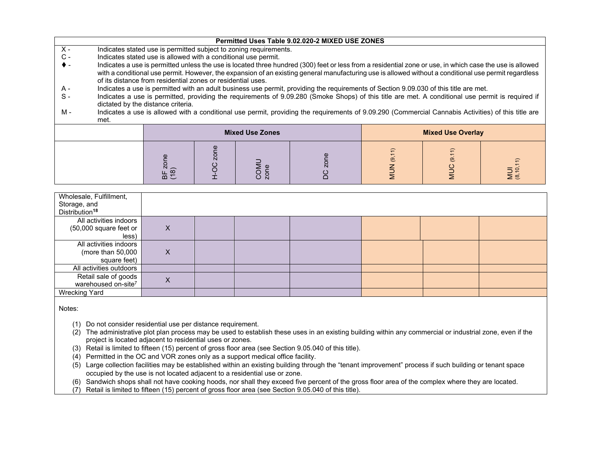|                | Permitted Uses Table 9.02.020-2 MIXED USE ZONES                                                                                                                                                                                                                                                                                                                                  |  |  |                        |  |  |                          |  |
|----------------|----------------------------------------------------------------------------------------------------------------------------------------------------------------------------------------------------------------------------------------------------------------------------------------------------------------------------------------------------------------------------------|--|--|------------------------|--|--|--------------------------|--|
| $X -$          | Indicates stated use is permitted subject to zoning requirements.                                                                                                                                                                                                                                                                                                                |  |  |                        |  |  |                          |  |
| $\mathsf{C}$ - | Indicates stated use is allowed with a conditional use permit.                                                                                                                                                                                                                                                                                                                   |  |  |                        |  |  |                          |  |
| ♦ -            | Indicates a use is permitted unless the use is located three hundred (300) feet or less from a residential zone or use, in which case the use is allowed<br>with a conditional use permit. However, the expansion of an existing general manufacturing use is allowed without a conditional use permit regardless<br>of its distance from residential zones or residential uses. |  |  |                        |  |  |                          |  |
| A -            |                                                                                                                                                                                                                                                                                                                                                                                  |  |  |                        |  |  |                          |  |
| $S -$          | Indicates a use is permitted with an adult business use permit, providing the requirements of Section 9.09.030 of this title are met.<br>Indicates a use is permitted, providing the requirements of 9.09.280 (Smoke Shops) of this title are met. A conditional use permit is required if<br>dictated by the distance criteria.                                                 |  |  |                        |  |  |                          |  |
| M -            | Indicates a use is allowed with a conditional use permit, providing the requirements of 9.09.290 (Commercial Cannabis Activities) of this title are<br>met.                                                                                                                                                                                                                      |  |  |                        |  |  |                          |  |
|                |                                                                                                                                                                                                                                                                                                                                                                                  |  |  | <b>Mixed Use Zones</b> |  |  | <b>Mixed Use Overlay</b> |  |
|                | zone<br>(9, 11)<br>(9.11)<br>zone<br>MUI<br>(8,10,11)<br>COMU<br>zone<br>OCH<br><b>NUN</b><br><b>NINC</b><br>BF z<br>(18)                                                                                                                                                                                                                                                        |  |  |                        |  |  |                          |  |

| Wholesale, Fulfillment,<br>Storage, and<br>Distribution <sup>18</sup> |   |  |  |  |
|-----------------------------------------------------------------------|---|--|--|--|
| All activities indoors                                                |   |  |  |  |
| (50,000 square feet or                                                | X |  |  |  |
| less)                                                                 |   |  |  |  |
| All activities indoors                                                |   |  |  |  |
| (more than $50,000$                                                   | X |  |  |  |
| square feet)                                                          |   |  |  |  |
| All activities outdoors                                               |   |  |  |  |
| Retail sale of goods                                                  | Χ |  |  |  |
| warehoused on-site <sup>7</sup>                                       |   |  |  |  |
| <b>Wrecking Yard</b>                                                  |   |  |  |  |

Notes:

(1) Do not consider residential use per distance requirement.

 $(2)$  The administrative plot plan process may be used to establish these uses in an existing building within any commercial or industrial zone, even if the project is located adjacent to residential uses or zones.

(3) Retail is limited to fifteen (15) percent of gross floor area (see Section 9.05.040 of this title).

(4) Permitted in the OC and VOR zones only as a support medical office facility.

 $\overrightarrow{5}$  Large collection facilities may be established within an existing building through the "tenant improvement" process if such building or tenant space occupied by the use is not located adjacent to a residential use or zone.

(6) Sandwich shops shall not have cooking hoods, nor shall they exceed five percent of the gross floor area of the complex where they are located.

(7) Retail is limited to fifteen (15) percent of gross floor area (see Section 9.05.040 of this title).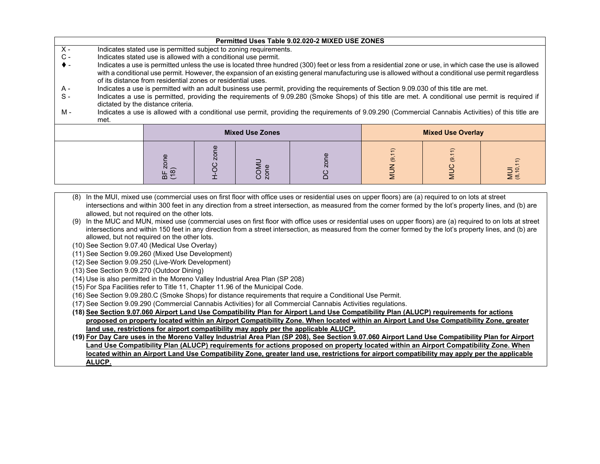## **Permitted Uses Table 9.02.020-2 MIXED USE ZONES**

- X Indicates stated use is permitted subject to zoning requirements.
- $C -$  Indicates stated use is allowed with a conditional use permit.<br>  $\blacklozenge$  Indicates a use is permitted unless the use is located three hui
- Indicates a use is permitted unless the use is located three hundred (300) feet or less from a residential zone or use, in which case the use is allowed with a conditional use permit. However, the expansion of an existing general manufacturing use is allowed without a conditional use permit regardless of its distance from residential zones or residential uses.
- A Indicates a use is permitted with an adult business use permit, providing the requirements of Section 9.09.030 of this title are met.
- $S -$ Indicates a use is permitted, providing the requirements of 9.09.280 (Smoke Shops) of this title are met. A conditional use permit is required if dictated by the distance criteria.
- M Indicates a use is allowed with a conditional use permit, providing the requirements of 9.09.290 (Commercial Cannabis Activities) of this title are met.

|                          | <b>Mixed Use Zones</b> |  | <b>Mixed Use Overlay</b>        |                                           |                      |
|--------------------------|------------------------|--|---------------------------------|-------------------------------------------|----------------------|
| $\omega$<br>$\sim$<br>흐드 | $\overline{N}$         |  | $\overline{\phantom{0}}$<br>ల్ల | $\widehat{=}$<br>$\overline{\mathcal{Q}}$ | $\widehat{t}$<br>≶ ≊ |

- (8) In the MUI, mixed use (commercial uses on first floor with office uses or residential uses on upper floors) are (a) required to on lots at street intersections and within 300 feet in any direction from a street intersection, as measured from the corner formed by the lot's property lines, and (b) are allowed, but not required on the other lots.
- (9) In the MUC and MUN, mixed use (commercial uses on first floor with office uses or residential uses on upper floors) are (a) required to on lots at street intersections and within 150 feet in any direction from a street intersection, as measured from the corner formed by the lot's property lines, and (b) are allowed, but not required on the other lots.
- (10) See Section 9.07.40 (Medical Use Overlay)
- (11) See Section 9.09.260 (Mixed Use Development)
- (12) See Section 9.09.250 (Live-Work Development)
- (13) See Section 9.09.270 (Outdoor Dining)
- (14) Use is also permitted in the Moreno Valley Industrial Area Plan (SP 208)
- (15) For Spa Facilities refer to Title 11, Chapter 11.96 of the Municipal Code.
- (16) See Section 9.09.280.C (Smoke Shops) for distance requirements that require a Conditional Use Permit.
- (17) See Section 9.09.290 (Commercial Cannabis Activities) for all Commercial Cannabis Activities regulations.
- **(18) See Section 9.07.060 Airport Land Use Compatibility Plan for Airport Land Use Compatibility Plan (ALUCP) requirements for actions proposed on property located within an Airport Compatibility Zone. When located within an Airport Land Use Compatibility Zone, greater land use, restrictions for airport compatibility may apply per the applicable ALUCP.**

**(19) For Day Care uses in the Moreno Valley Industrial Area Plan (SP 208), See Section 9.07.060 Airport Land Use Compatibility Plan for Airport Land Use Compatibility Plan (ALUCP) requirements for actions proposed on property located within an Airport Compatibility Zone. When located within an Airport Land Use Compatibility Zone, greater land use, restrictions for airport compatibility may apply per the applicable ALUCP.**